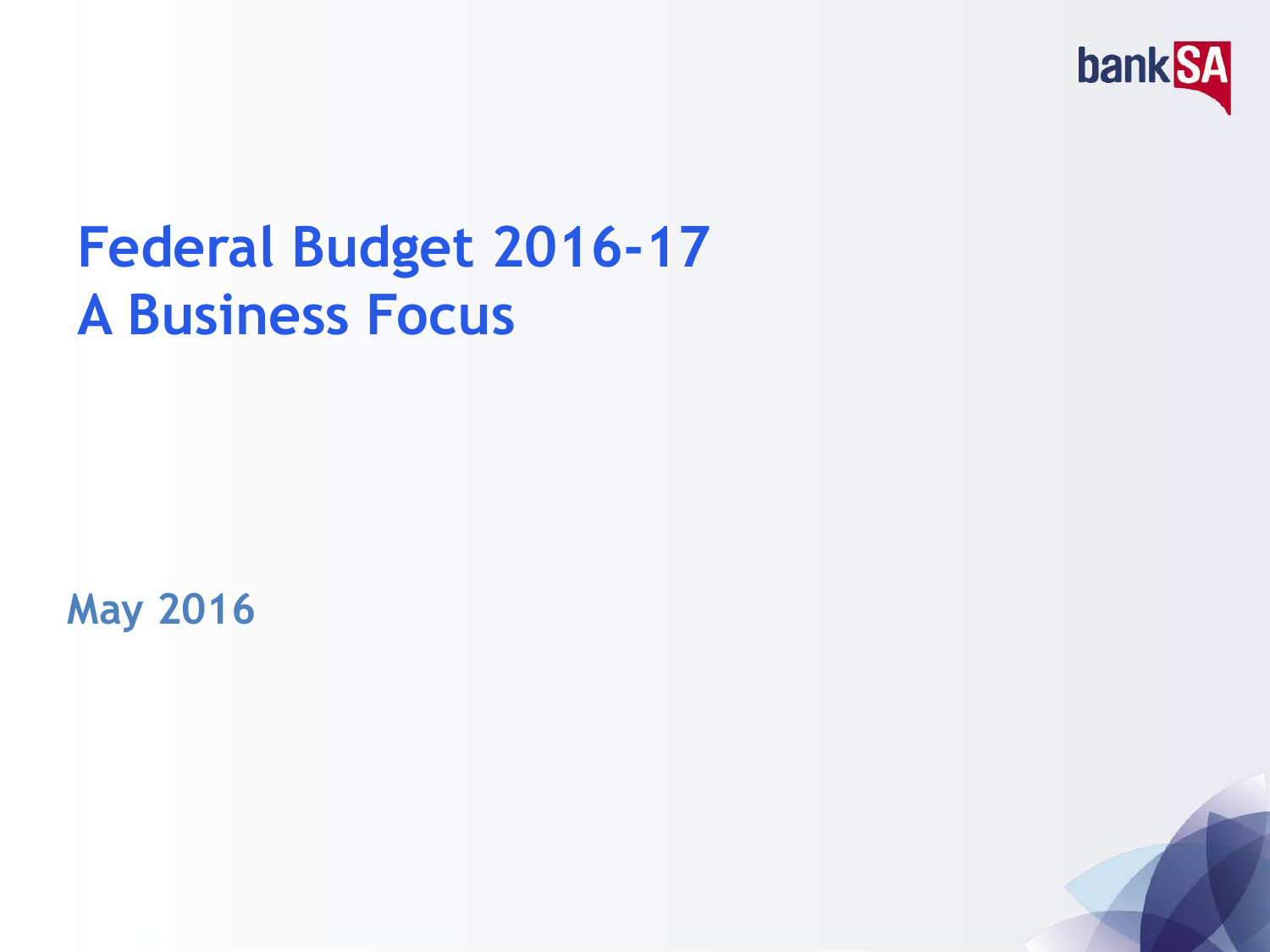

## **Federal Budget 2016-17 A Business Focus**

**May 2016**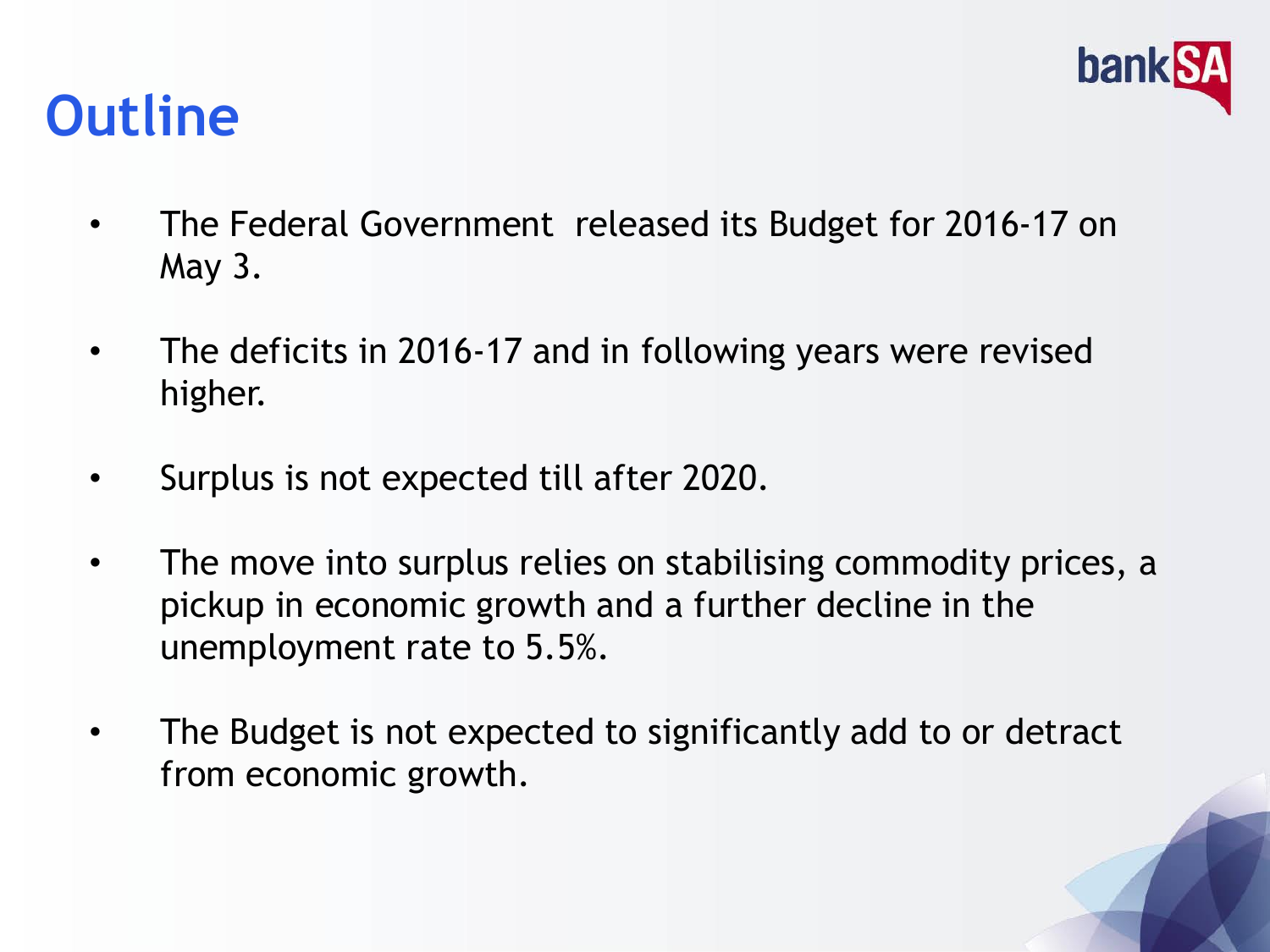

### **Outline**

- The Federal Government released its Budget for 2016-17 on May 3.
- The deficits in 2016-17 and in following years were revised higher.
- Surplus is not expected till after 2020.
- The move into surplus relies on stabilising commodity prices, a pickup in economic growth and a further decline in the unemployment rate to 5.5%.
- The Budget is not expected to significantly add to or detract from economic growth.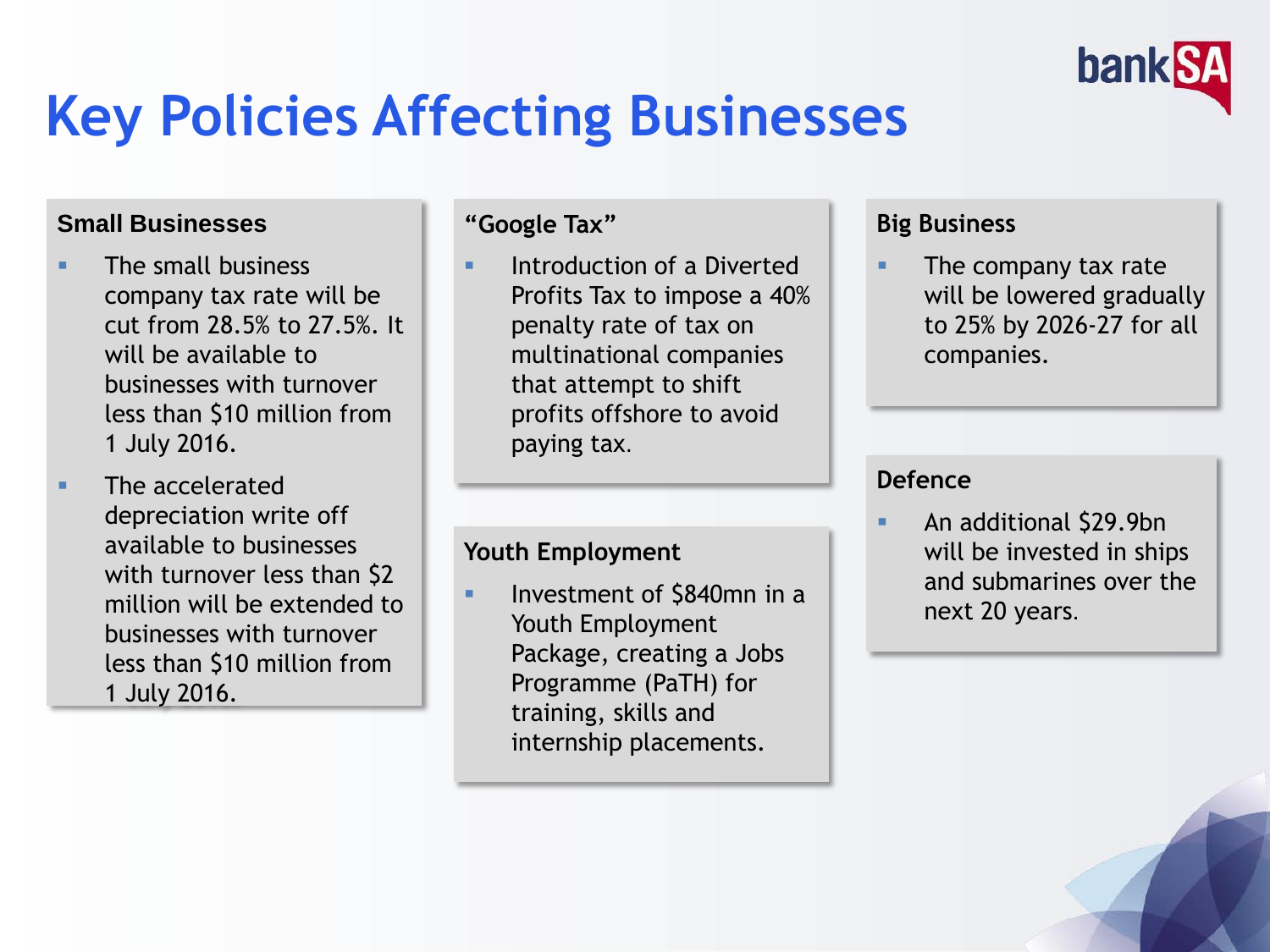

## **Key Policies Affecting Businesses**

#### **Small Businesses**

- **The small business** company tax rate will be cut from 28.5% to 27.5%. It will be available to businesses with turnover less than \$10 million from 1 July 2016.
- **The accelerated** depreciation write off available to businesses with turnover less than \$2 million will be extended to businesses with turnover less than \$10 million from 1 July 2016.

#### **"Google Tax"**

 Introduction of a Diverted Profits Tax to impose a 40% penalty rate of tax on multinational companies that attempt to shift profits offshore to avoid paying tax.

#### **Youth Employment**

 Investment of \$840mn in a Youth Employment Package, creating a Jobs Programme (PaTH) for training, skills and internship placements.

#### **Big Business**

 The company tax rate will be lowered gradually to 25% by 2026-27 for all companies.

#### **Defence**

 An additional \$29.9bn will be invested in ships and submarines over the next 20 years.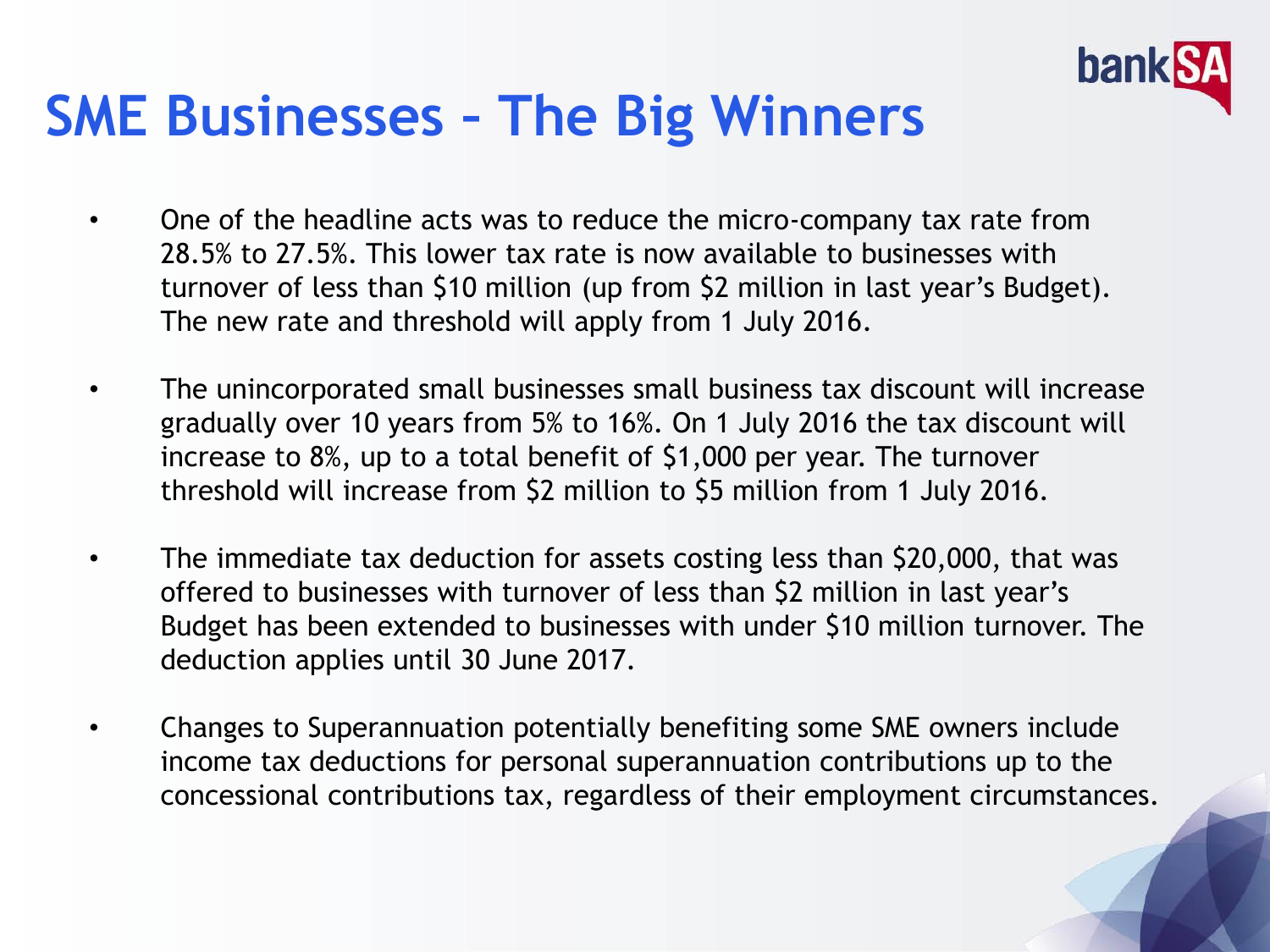

### **SME Businesses – The Big Winners**

- One of the headline acts was to reduce the micro-company tax rate from 28.5% to 27.5%. This lower tax rate is now available to businesses with turnover of less than \$10 million (up from \$2 million in last year's Budget). The new rate and threshold will apply from 1 July 2016.
- The unincorporated small businesses small business tax discount will increase gradually over 10 years from 5% to 16%. On 1 July 2016 the tax discount will increase to 8%, up to a total benefit of \$1,000 per year. The turnover threshold will increase from \$2 million to \$5 million from 1 July 2016.
- The immediate tax deduction for assets costing less than \$20,000, that was offered to businesses with turnover of less than \$2 million in last year's Budget has been extended to businesses with under \$10 million turnover. The deduction applies until 30 June 2017.
- Changes to Superannuation potentially benefiting some SME owners include income tax deductions for personal superannuation contributions up to the concessional contributions tax, regardless of their employment circumstances.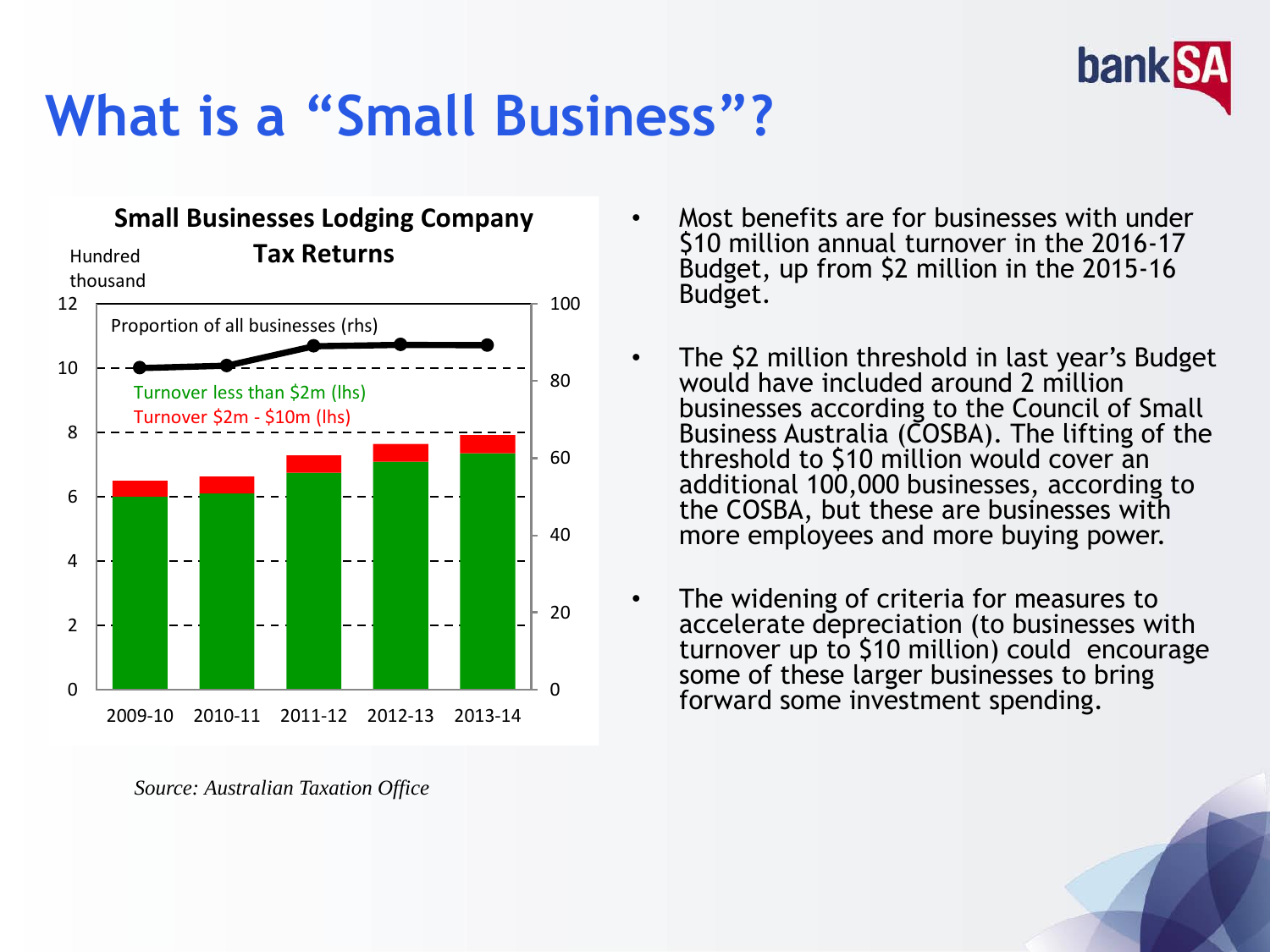

## **What is a "Small Business"?**



*Source: Australian Taxation Office*

- Most benefits are for businesses with under \$10 million annual turnover in the 2016-17 Budget, up from \$2 million in the 2015-16 Budget.
- The \$2 million threshold in last year's Budget would have included around 2 million businesses according to the Council of Small Business Australia (COSBA). The lifting of the threshold to \$10 million would cover an additional 100,000 businesses, according to the COSBA, but these are businesses with more employees and more buying power.
- The widening of criteria for measures to accelerate depreciation (to businesses with turnover up to \$10 million) could encourage some of these larger businesses to bring forward some investment spending.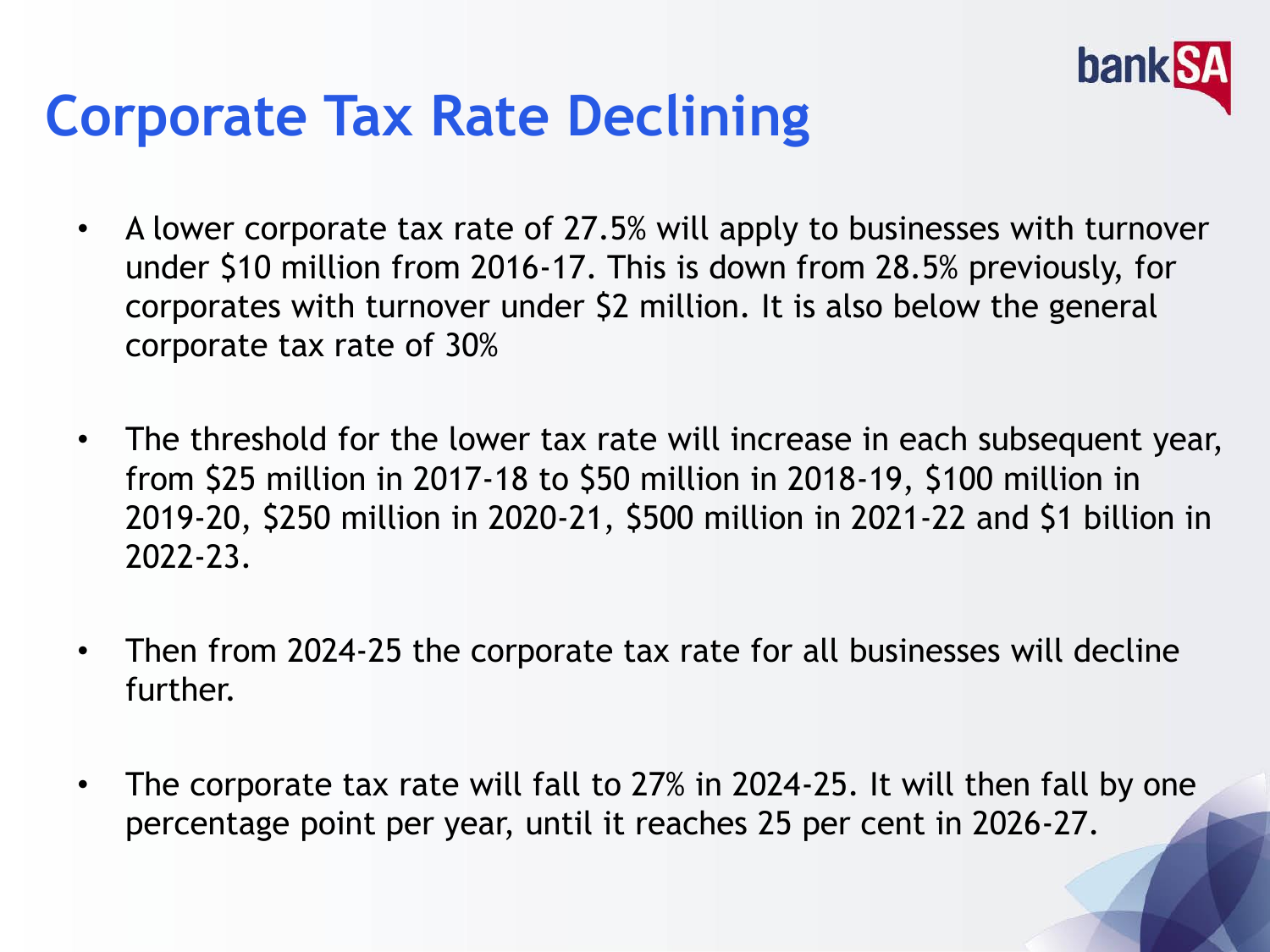

## **Corporate Tax Rate Declining**

- A lower corporate tax rate of 27.5% will apply to businesses with turnover under \$10 million from 2016-17. This is down from 28.5% previously, for corporates with turnover under \$2 million. It is also below the general corporate tax rate of 30%
- The threshold for the lower tax rate will increase in each subsequent year, from \$25 million in 2017-18 to \$50 million in 2018-19, \$100 million in 2019-20, \$250 million in 2020-21, \$500 million in 2021-22 and \$1 billion in 2022-23.
- Then from 2024-25 the corporate tax rate for all businesses will decline further.
- The corporate tax rate will fall to 27% in 2024-25. It will then fall by one percentage point per year, until it reaches 25 per cent in 2026-27.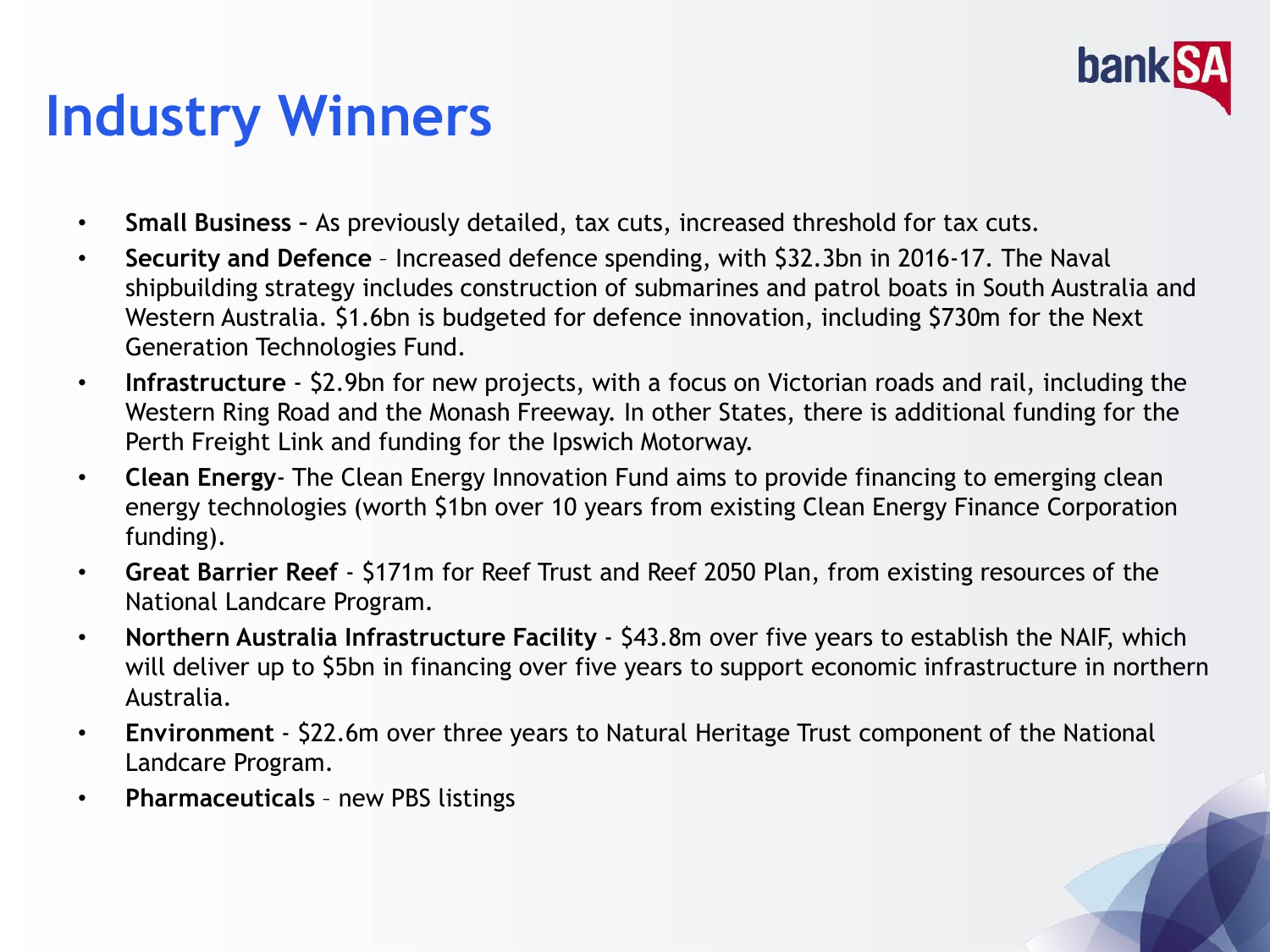

## **Industry Winners**

- **Small Business –** As previously detailed, tax cuts, increased threshold for tax cuts.
- **Security and Defence**  Increased defence spending, with \$32.3bn in 2016-17. The Naval shipbuilding strategy includes construction of submarines and patrol boats in South Australia and Western Australia. \$1.6bn is budgeted for defence innovation, including \$730m for the Next Generation Technologies Fund.
- **Infrastructure** \$2.9bn for new projects, with a focus on Victorian roads and rail, including the Western Ring Road and the Monash Freeway. In other States, there is additional funding for the Perth Freight Link and funding for the Ipswich Motorway.
- **Clean Energy** The Clean Energy Innovation Fund aims to provide financing to emerging clean energy technologies (worth \$1bn over 10 years from existing Clean Energy Finance Corporation funding).
- **Great Barrier Reef**  \$171m for Reef Trust and Reef 2050 Plan, from existing resources of the National Landcare Program.
- **Northern Australia Infrastructure Facility** \$43.8m over five years to establish the NAIF, which will deliver up to \$5bn in financing over five years to support economic infrastructure in northern Australia.
- **Environment** \$22.6m over three years to Natural Heritage Trust component of the National Landcare Program.
- **Pharmaceuticals**  new PBS listings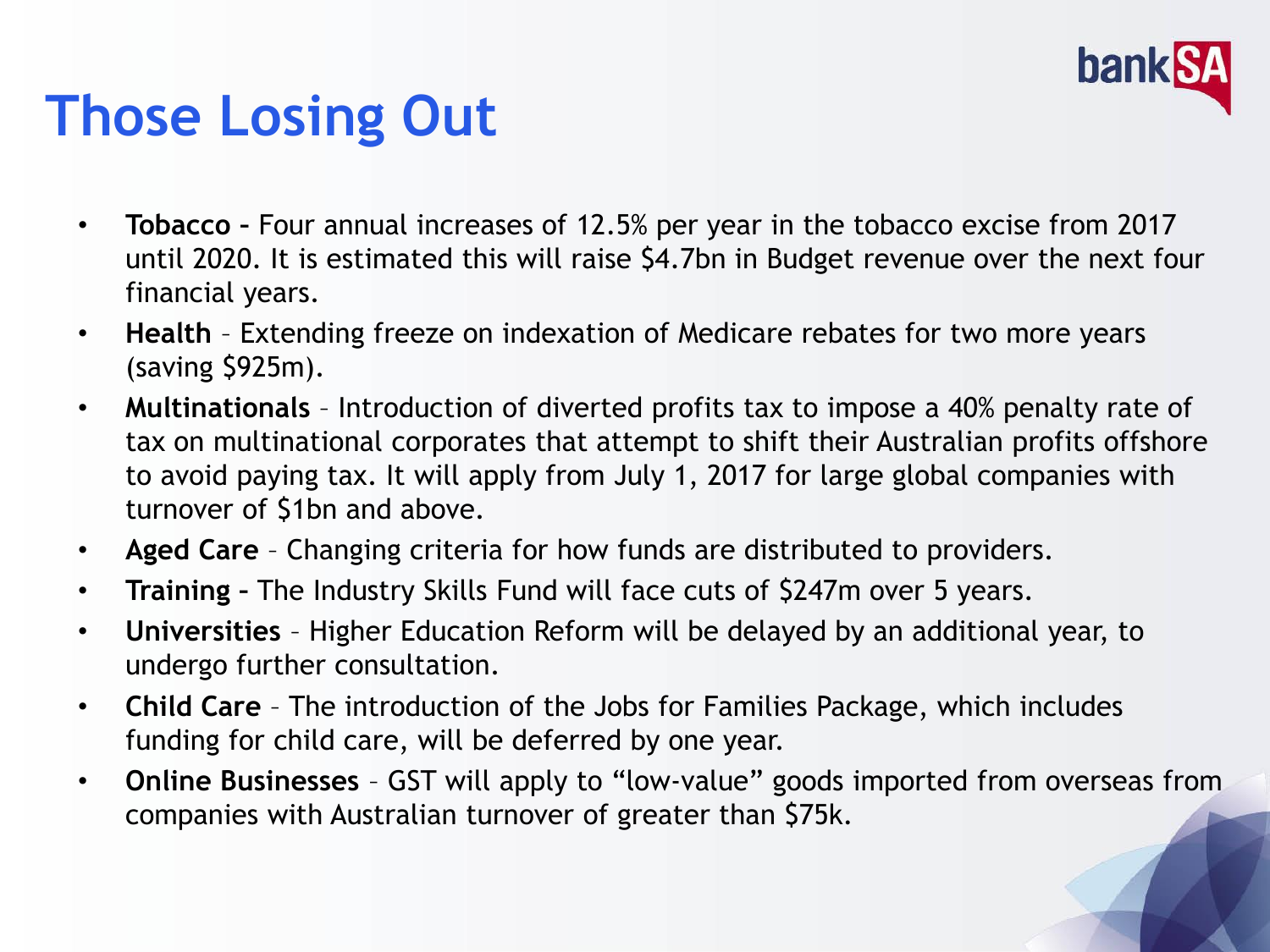

## **Those Losing Out**

- **Tobacco –** Four annual increases of 12.5% per year in the tobacco excise from 2017 until 2020. It is estimated this will raise \$4.7bn in Budget revenue over the next four financial years.
- **Health**  Extending freeze on indexation of Medicare rebates for two more years (saving \$925m).
- **Multinationals** Introduction of diverted profits tax to impose a 40% penalty rate of tax on multinational corporates that attempt to shift their Australian profits offshore to avoid paying tax. It will apply from July 1, 2017 for large global companies with turnover of \$1bn and above.
- **Aged Care**  Changing criteria for how funds are distributed to providers.
- **Training –** The Industry Skills Fund will face cuts of \$247m over 5 years.
- **Universities** Higher Education Reform will be delayed by an additional year, to undergo further consultation.
- **Child Care**  The introduction of the Jobs for Families Package, which includes funding for child care, will be deferred by one year.
- **Online Businesses**  GST will apply to "low-value" goods imported from overseas from companies with Australian turnover of greater than \$75k.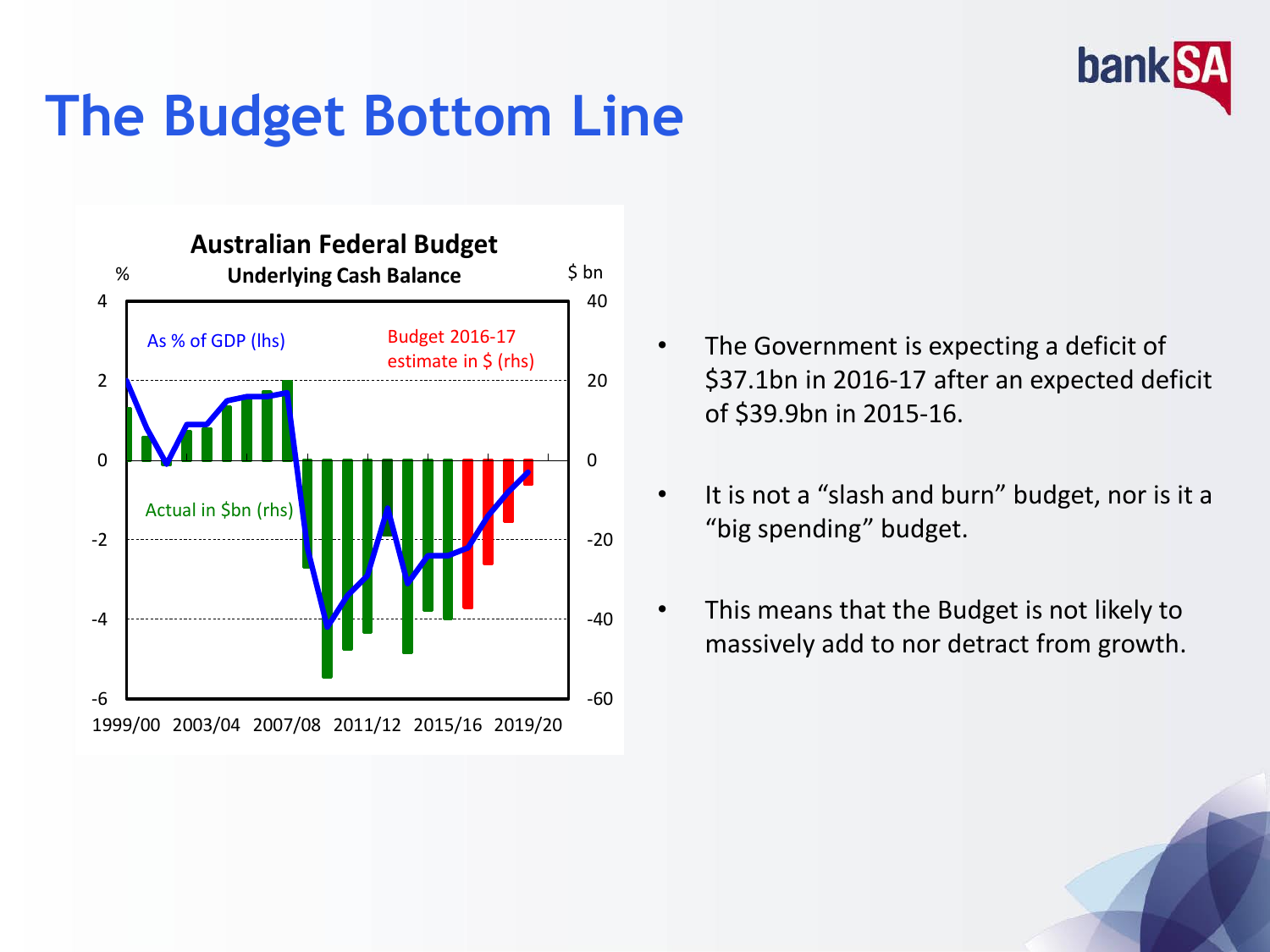

## **The Budget Bottom Line**



- The Government is expecting a deficit of \$37.1bn in 2016-17 after an expected deficit of \$39.9bn in 2015-16.
- It is not a "slash and burn" budget, nor is it a "big spending" budget.
- This means that the Budget is not likely to massively add to nor detract from growth.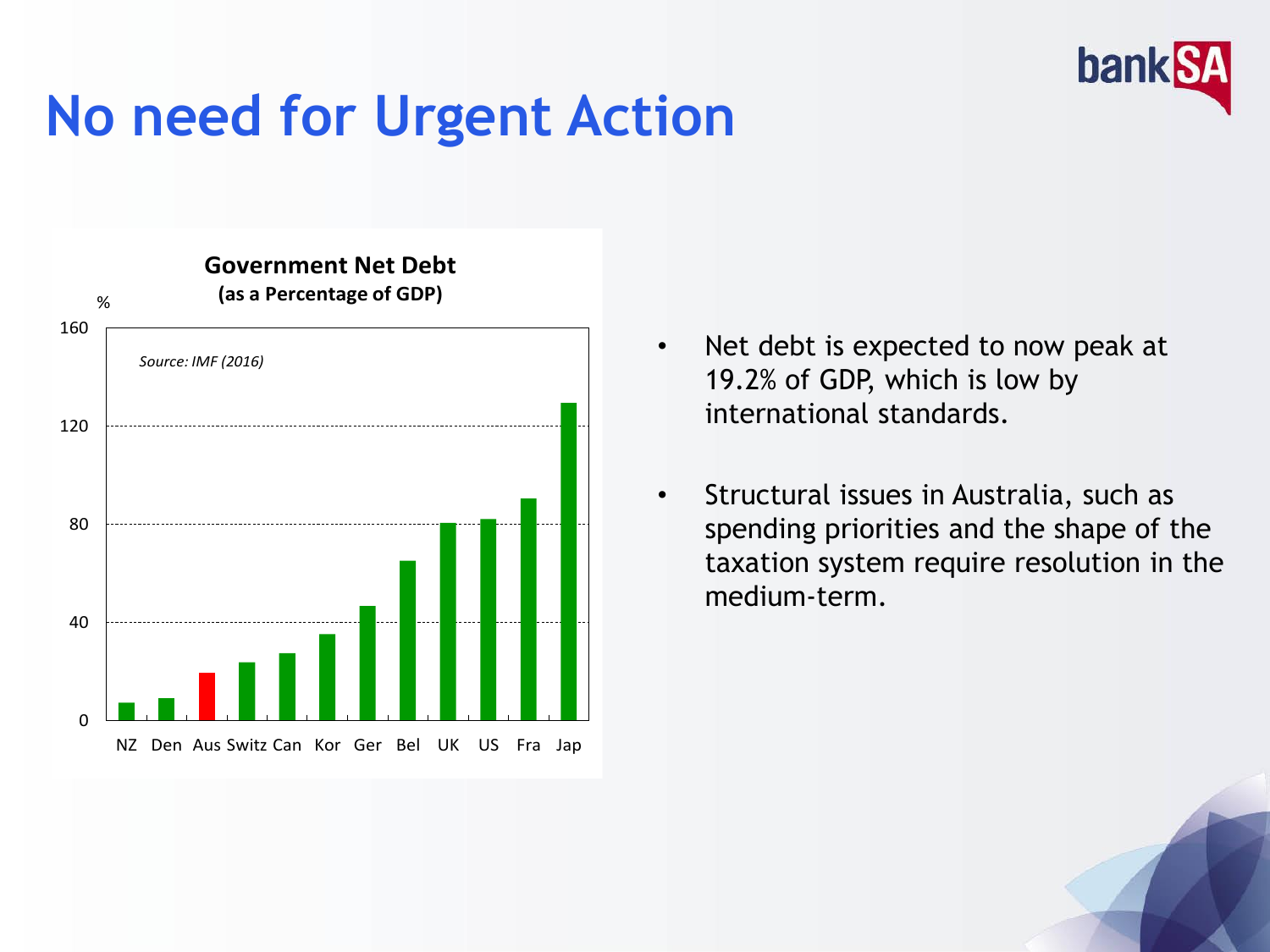## **No need for Urgent Action**



• Net debt is expected to now peak at 19.2% of GDP, which is low by international standards.

banl

• Structural issues in Australia, such as spending priorities and the shape of the taxation system require resolution in the medium-term.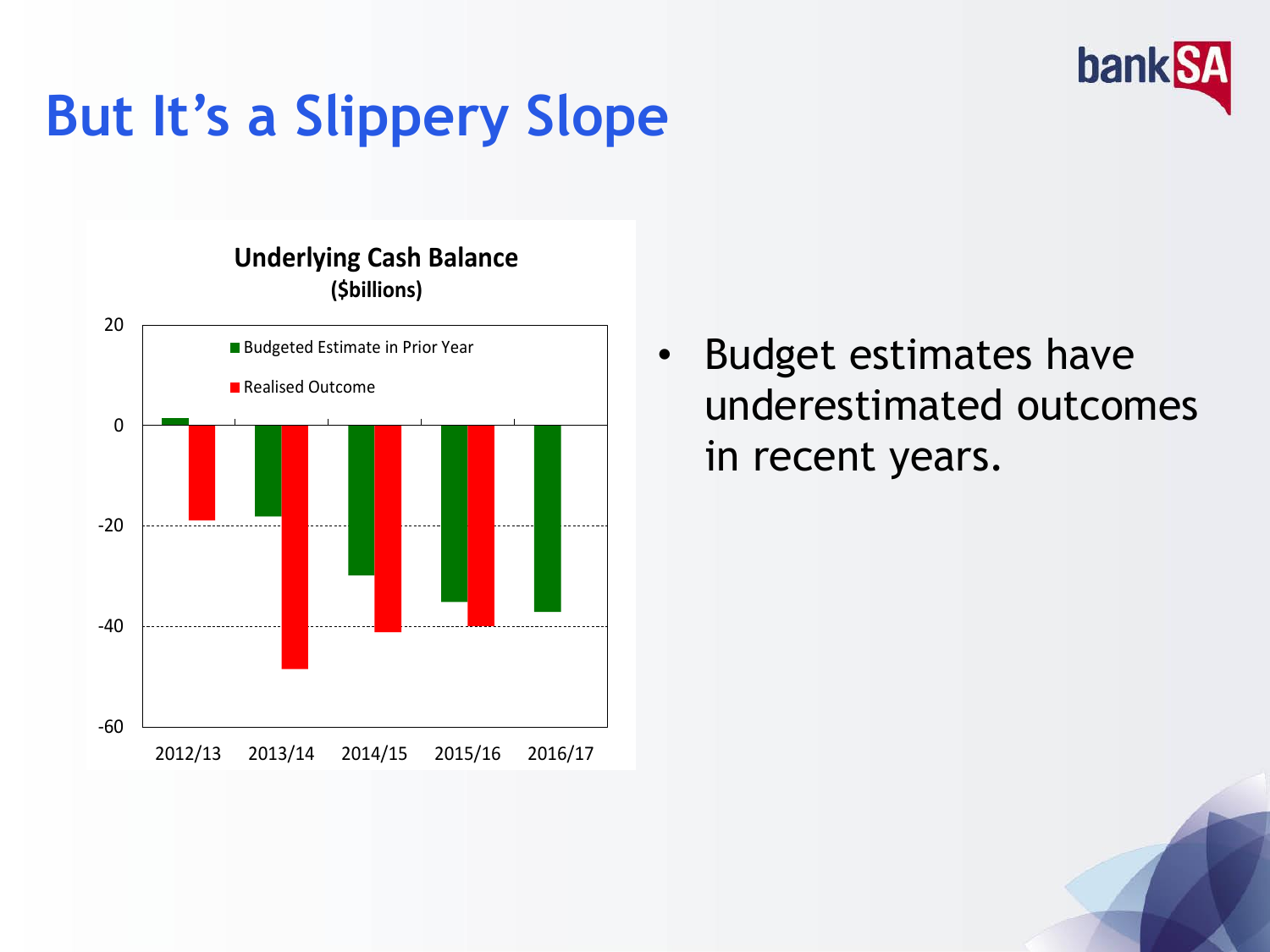

# **But It's a Slippery Slope**

-60 -40 -20 0 20 2012/13 2013/14 2014/15 2015/16 2016/17 **Underlying Cash Balance (\$billions)**  Budgeted Estimate in Prior Year Realised Outcome

Budget estimates have underestimated outcomes in recent years.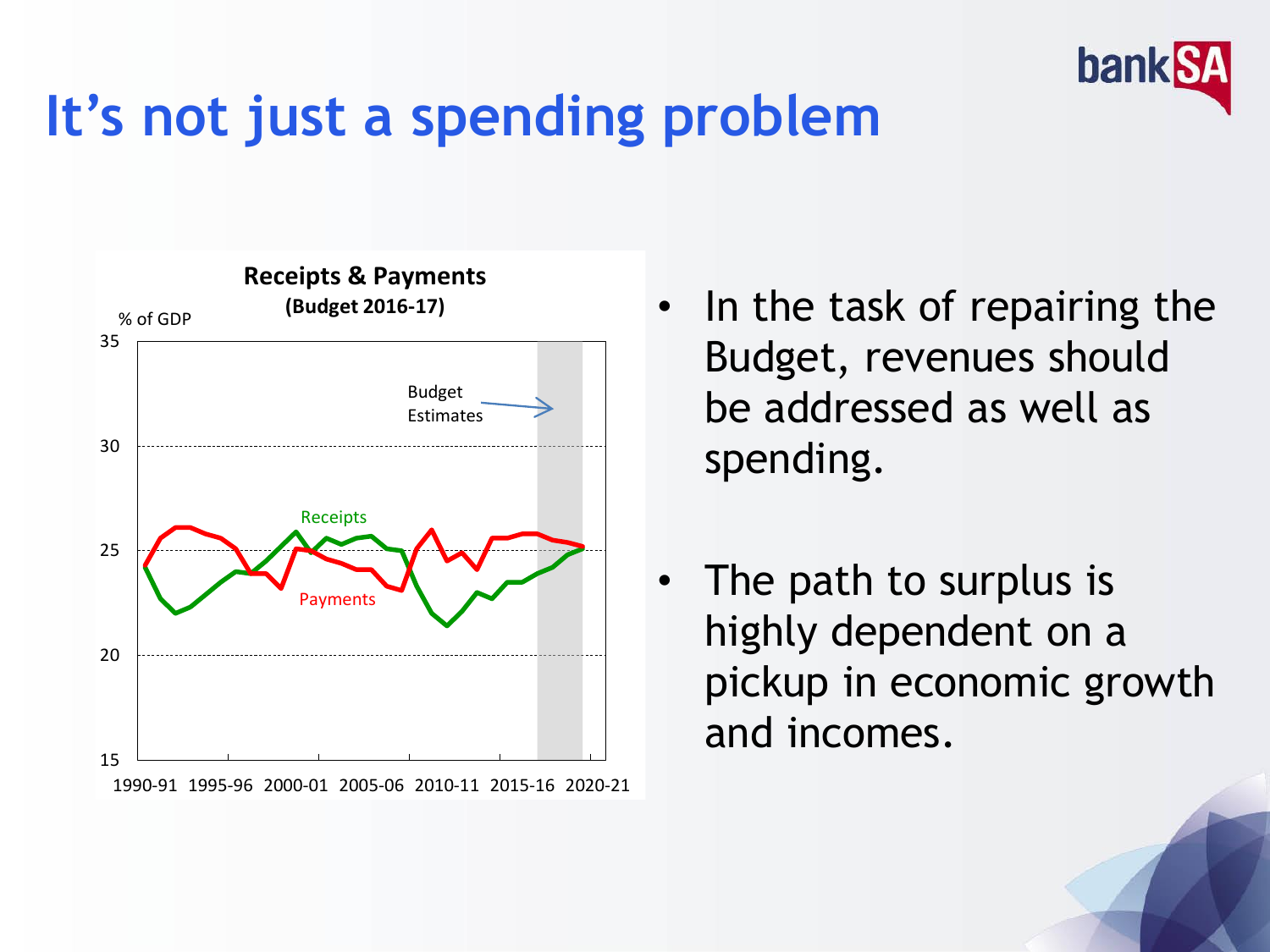

## **It's not just a spending problem**



- In the task of repairing the Budget, revenues should be addressed as well as spending.
- The path to surplus is highly dependent on a pickup in economic growth and incomes.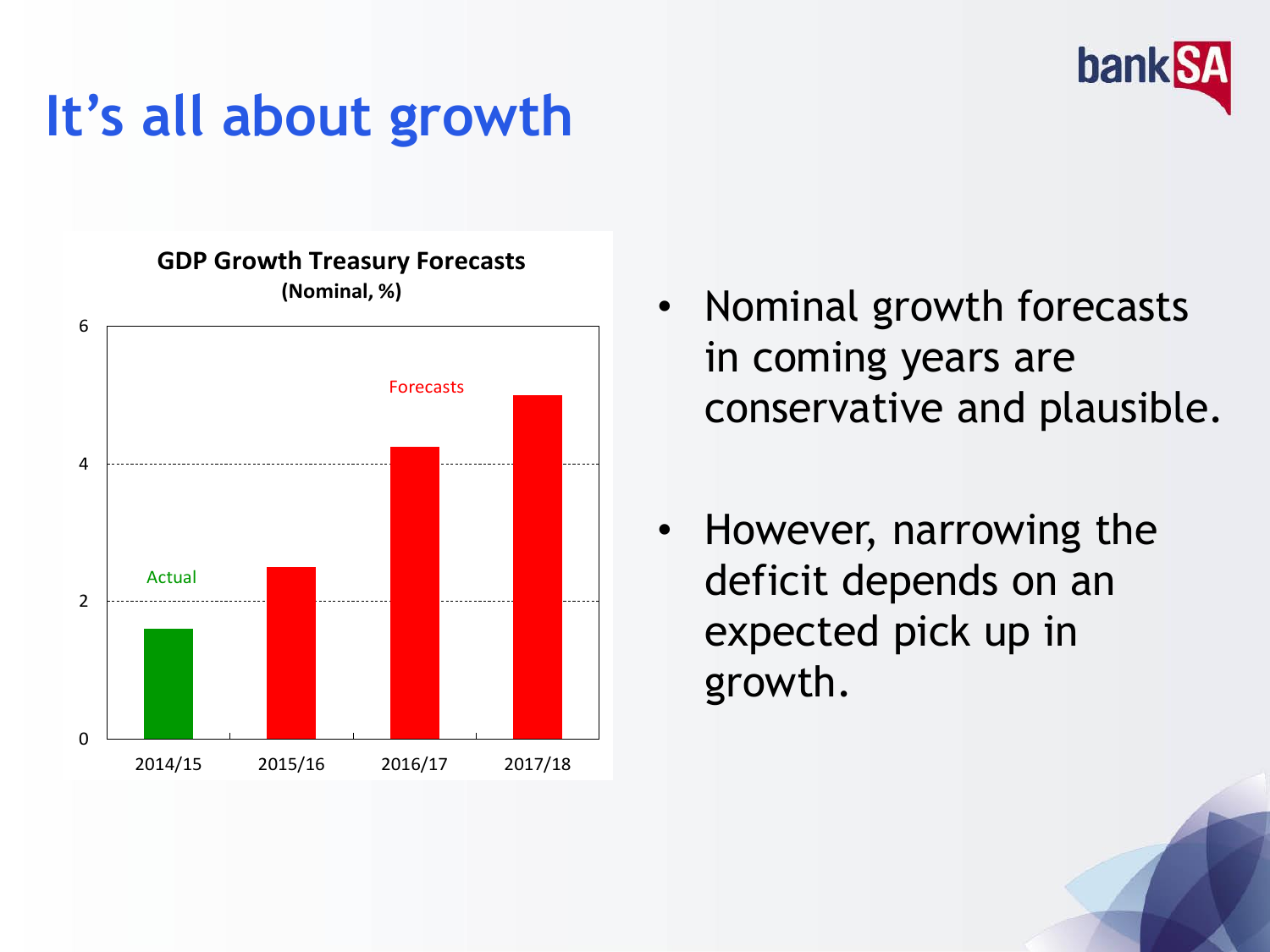

## **It's all about growth**

**GDP Growth Treasury Forecasts (Nominal, %)**



- Nominal growth forecasts in coming years are conservative and plausible.
- However, narrowing the deficit depends on an expected pick up in growth.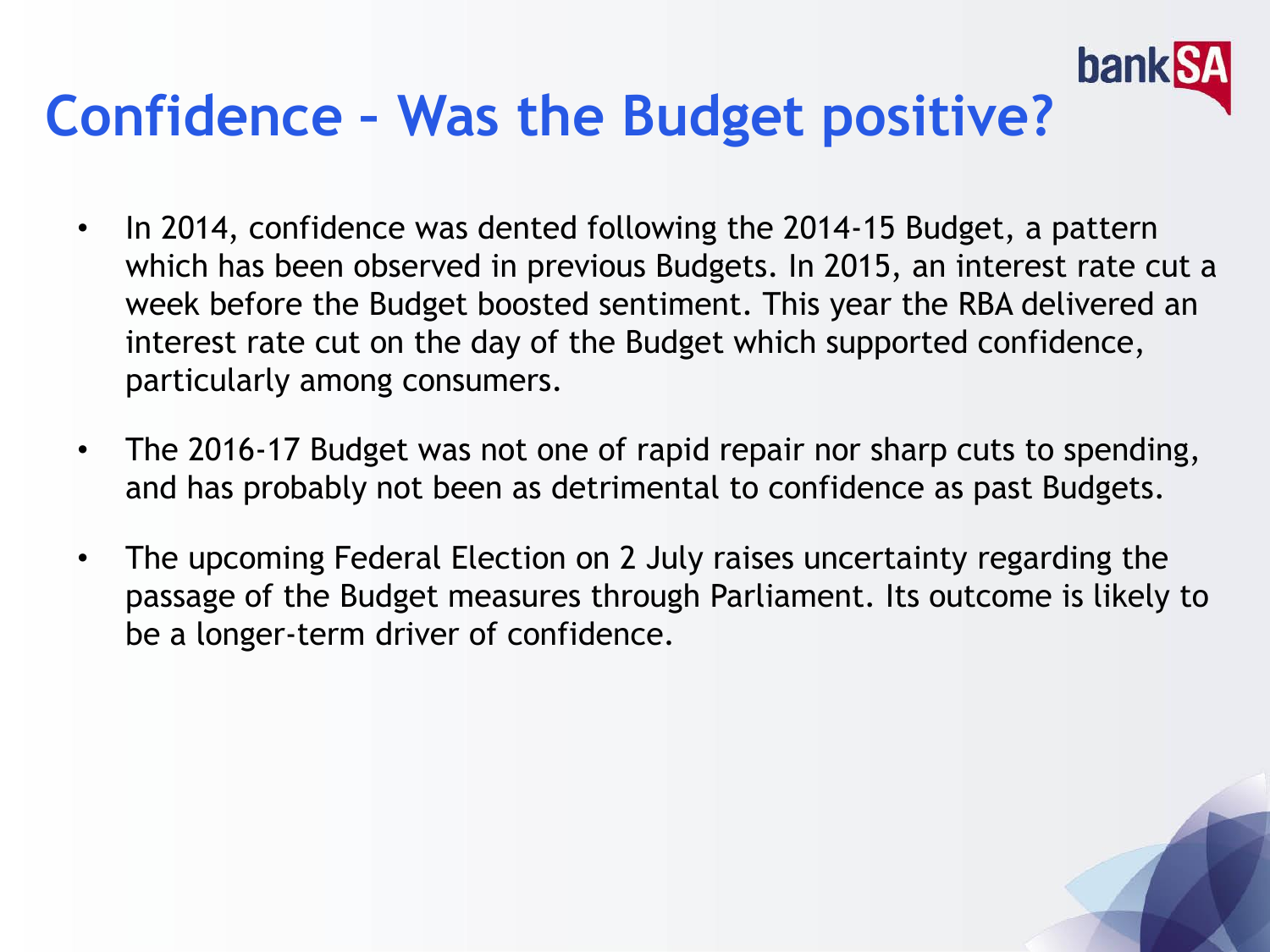#### banl **Confidence – Was the Budget positive?**

- In 2014, confidence was dented following the 2014-15 Budget, a pattern which has been observed in previous Budgets. In 2015, an interest rate cut a week before the Budget boosted sentiment. This year the RBA delivered an interest rate cut on the day of the Budget which supported confidence, particularly among consumers.
- The 2016-17 Budget was not one of rapid repair nor sharp cuts to spending, and has probably not been as detrimental to confidence as past Budgets.
- The upcoming Federal Election on 2 July raises uncertainty regarding the passage of the Budget measures through Parliament. Its outcome is likely to be a longer-term driver of confidence.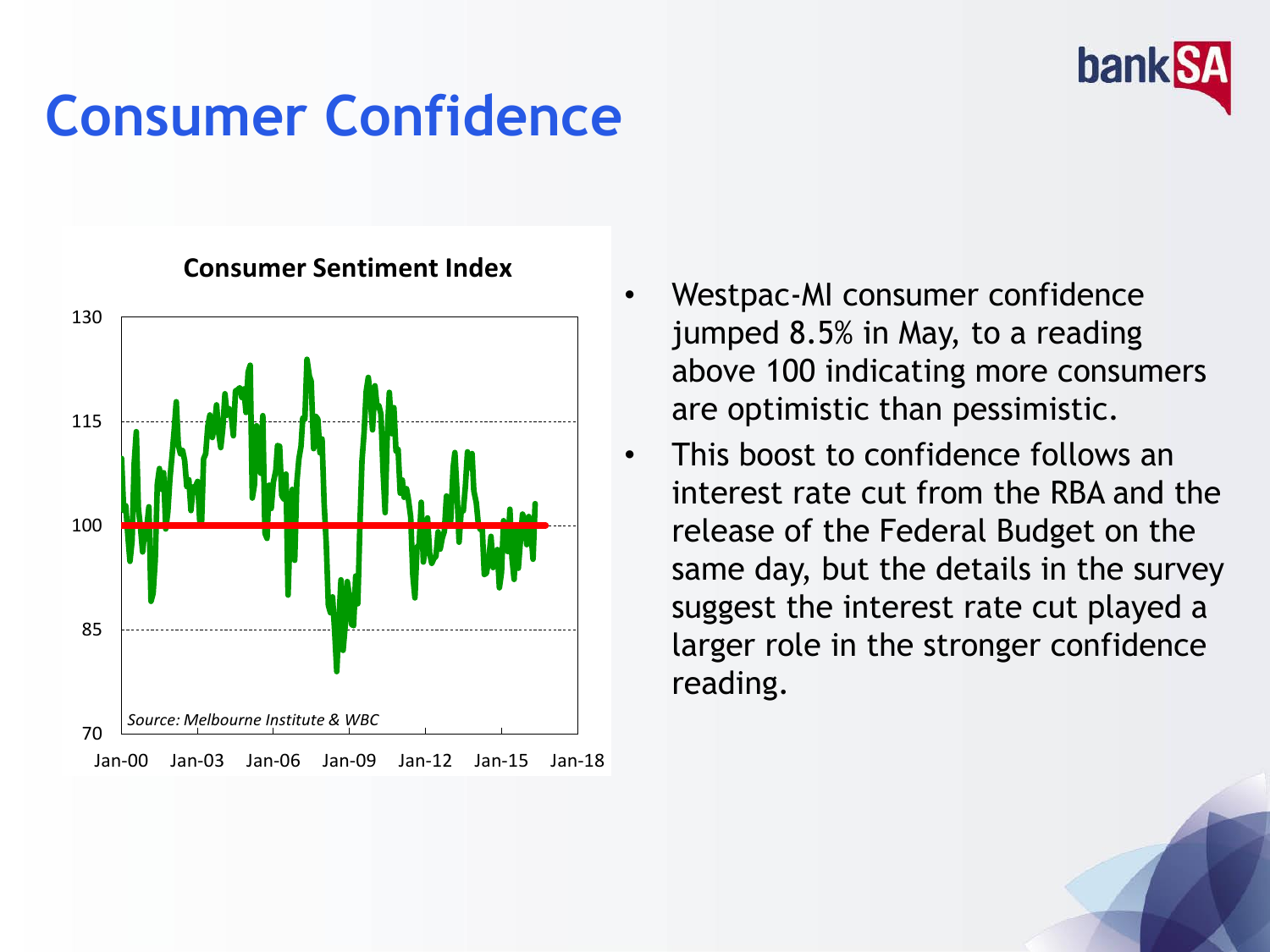## **Consumer Confidence**



#### **Consumer Sentiment Index**

• Westpac-MI consumer confidence jumped 8.5% in May, to a reading above 100 indicating more consumers are optimistic than pessimistic.

**bank** 

This boost to confidence follows an interest rate cut from the RBA and the release of the Federal Budget on the same day, but the details in the survey suggest the interest rate cut played a larger role in the stronger confidence reading.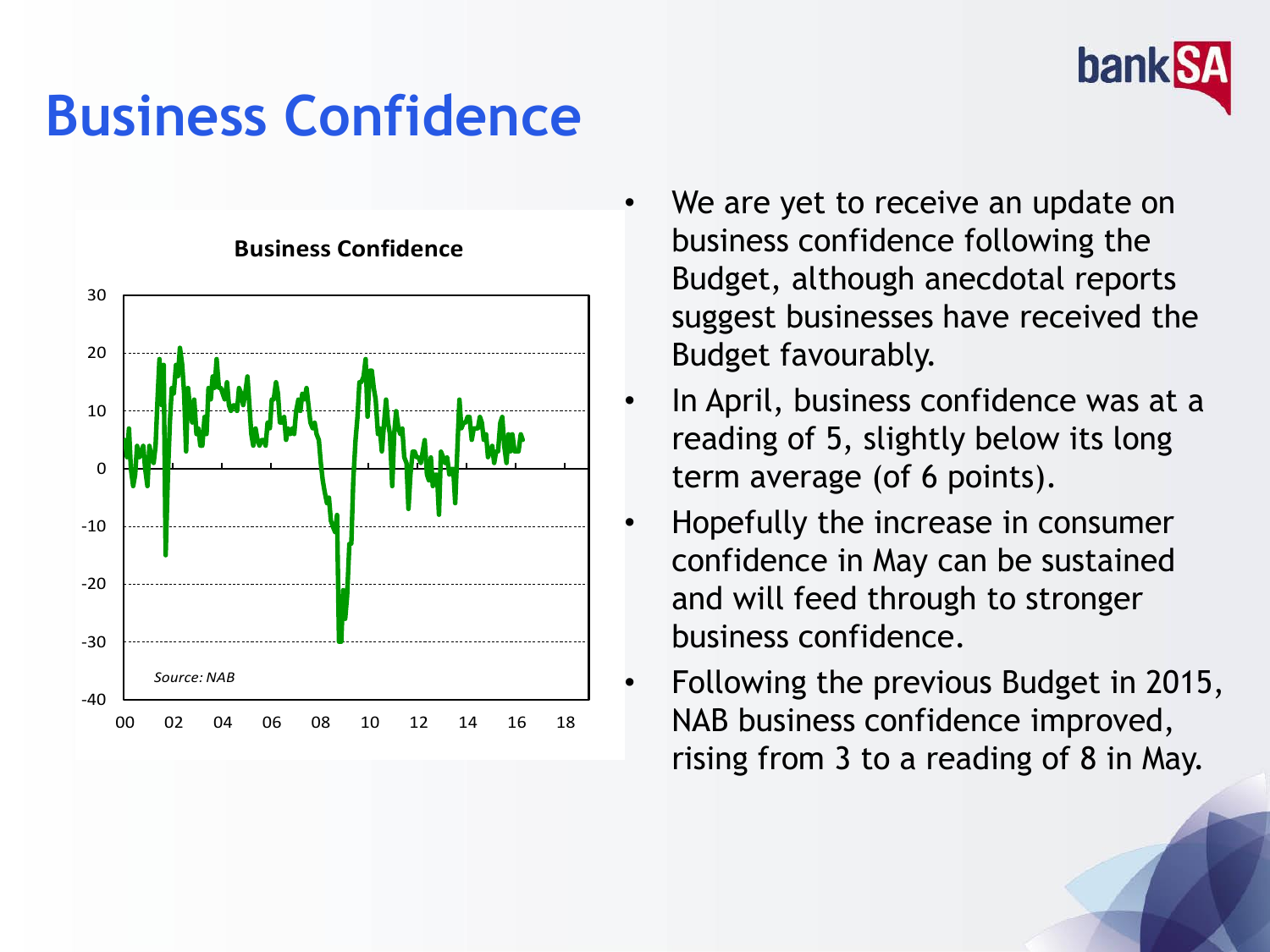

## **Business Confidence**



**Business Confidence**

- We are yet to receive an update on business confidence following the Budget, although anecdotal reports suggest businesses have received the Budget favourably.
- In April, business confidence was at a reading of 5, slightly below its long term average (of 6 points).
- Hopefully the increase in consumer confidence in May can be sustained and will feed through to stronger business confidence.
- Following the previous Budget in 2015, NAB business confidence improved, rising from 3 to a reading of 8 in May.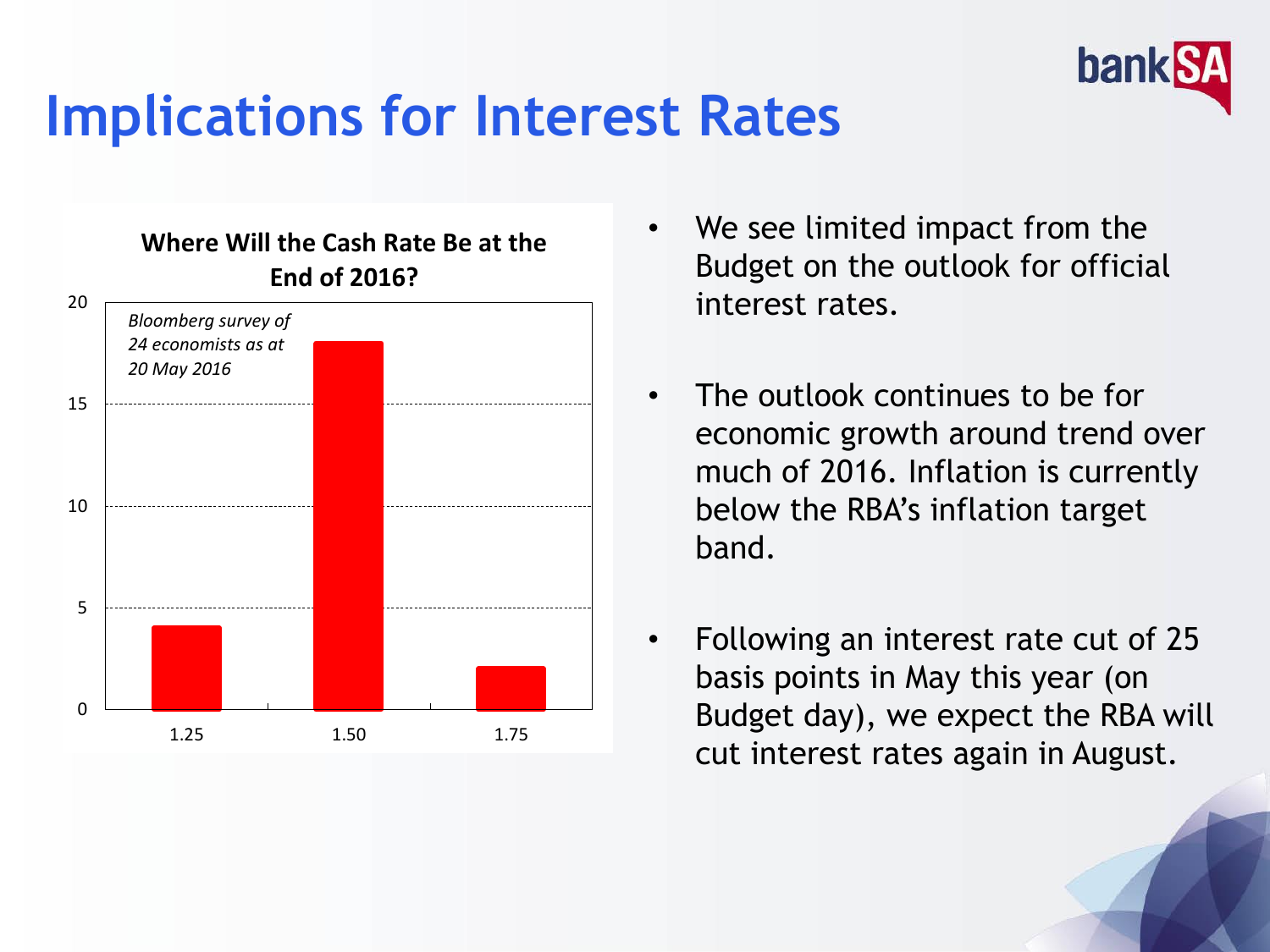

### **Implications for Interest Rates**



- We see limited impact from the Budget on the outlook for official interest rates.
- The outlook continues to be for economic growth around trend over much of 2016. Inflation is currently below the RBA's inflation target band.
- Following an interest rate cut of 25 basis points in May this year (on Budget day), we expect the RBA will cut interest rates again in August.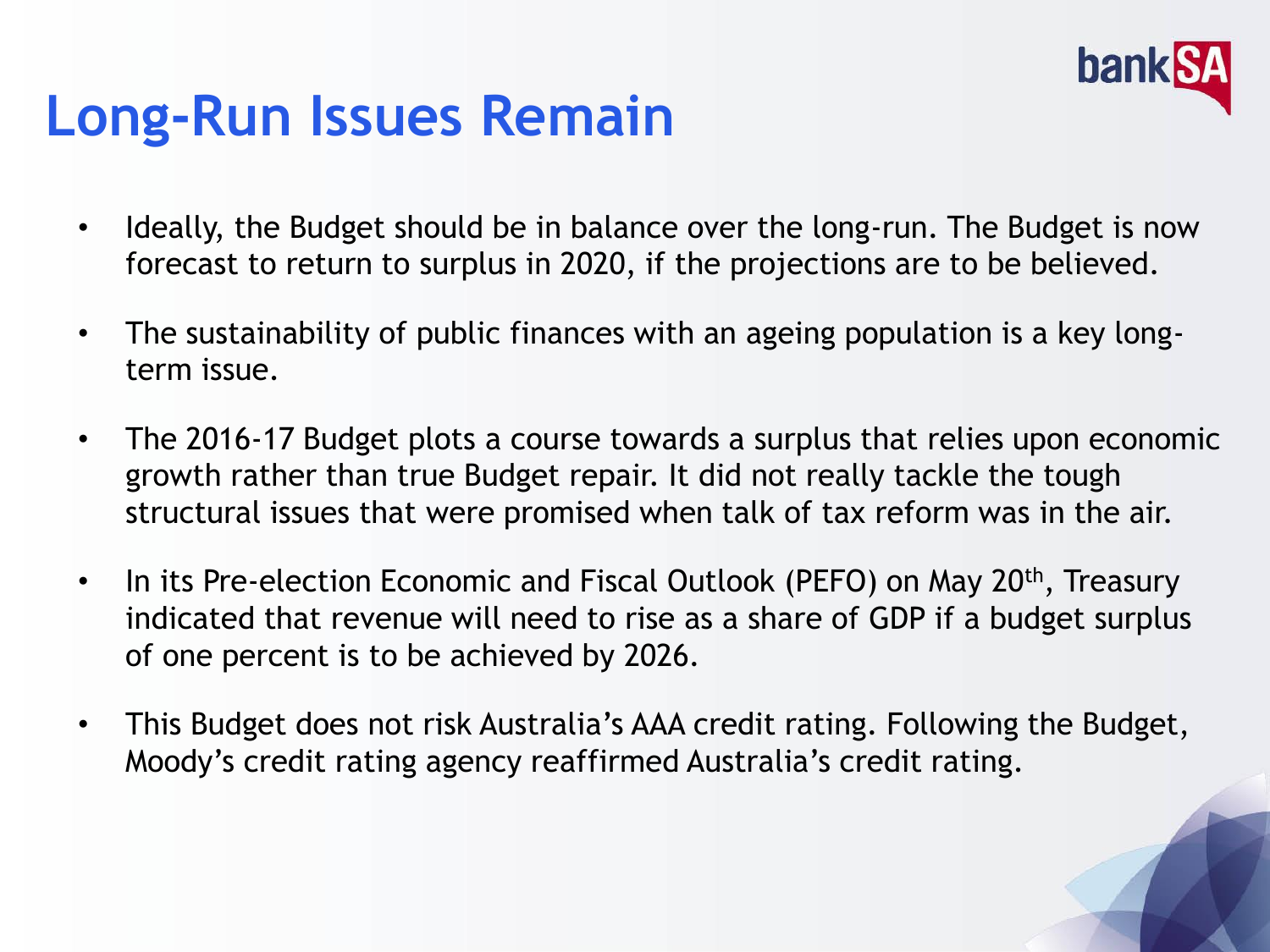

## **Long-Run Issues Remain**

- Ideally, the Budget should be in balance over the long-run. The Budget is now forecast to return to surplus in 2020, if the projections are to be believed.
- The sustainability of public finances with an ageing population is a key longterm issue.
- The 2016-17 Budget plots a course towards a surplus that relies upon economic growth rather than true Budget repair. It did not really tackle the tough structural issues that were promised when talk of tax reform was in the air.
- In its Pre-election Economic and Fiscal Outlook (PEFO) on May 20<sup>th</sup>, Treasury indicated that revenue will need to rise as a share of GDP if a budget surplus of one percent is to be achieved by 2026.
- This Budget does not risk Australia's AAA credit rating. Following the Budget, Moody's credit rating agency reaffirmed Australia's credit rating.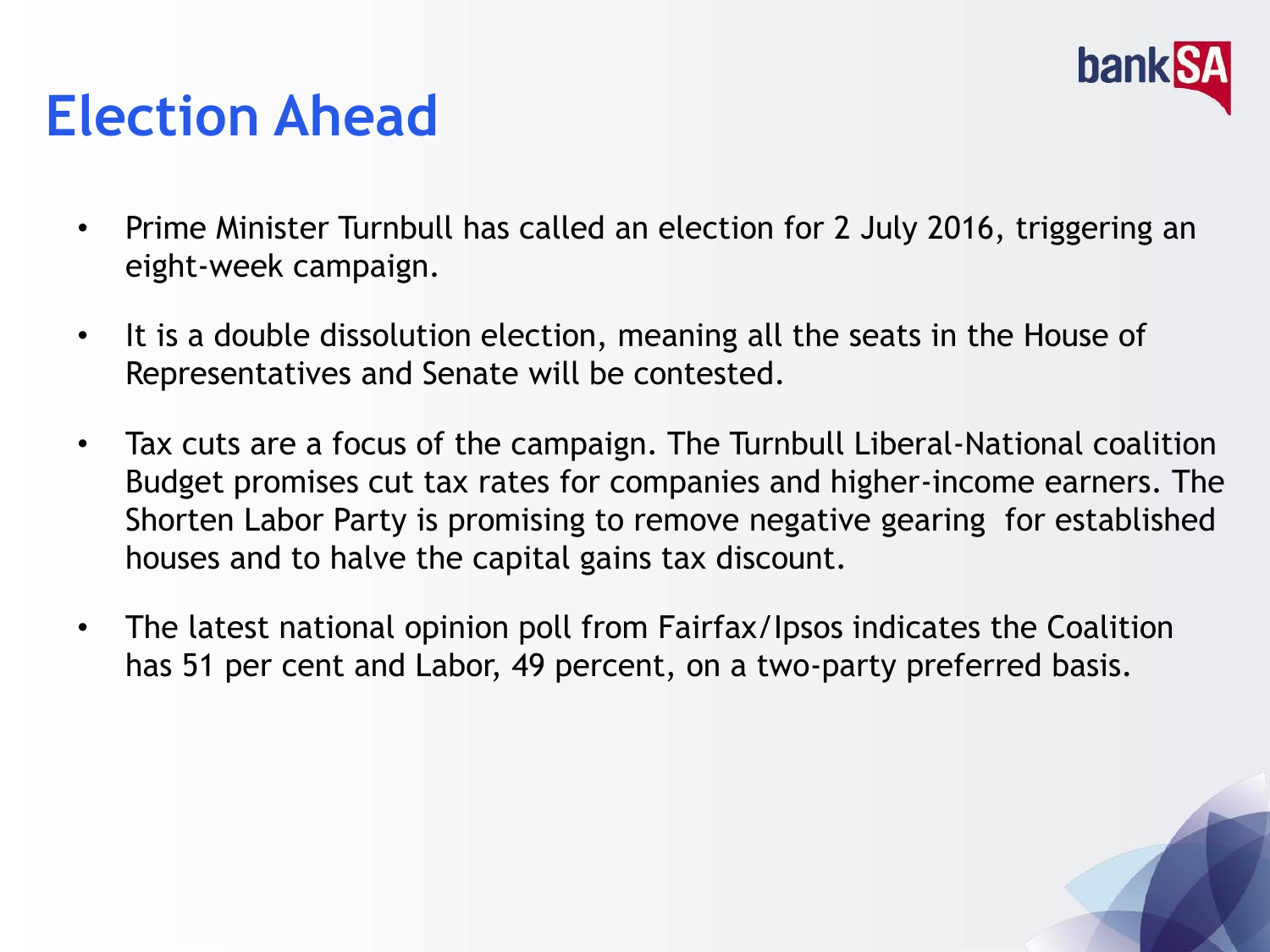

## **Election Ahead**

- Prime Minister Turnbull has called an election for 2 July 2016, triggering an eight-week campaign.
- It is a double dissolution election, meaning all the seats in the House of Representatives and Senate will be contested.
- Tax cuts are a focus of the campaign. The Turnbull Liberal-National coalition Budget promises cut tax rates for companies and higher-income earners. The Shorten Labor Party is promising to remove negative gearing for established houses and to halve the capital gains tax discount.
- The latest national opinion poll from Fairfax/Ipsos indicates the Coalition has 51 per cent and Labor, 49 percent, on a two-party preferred basis.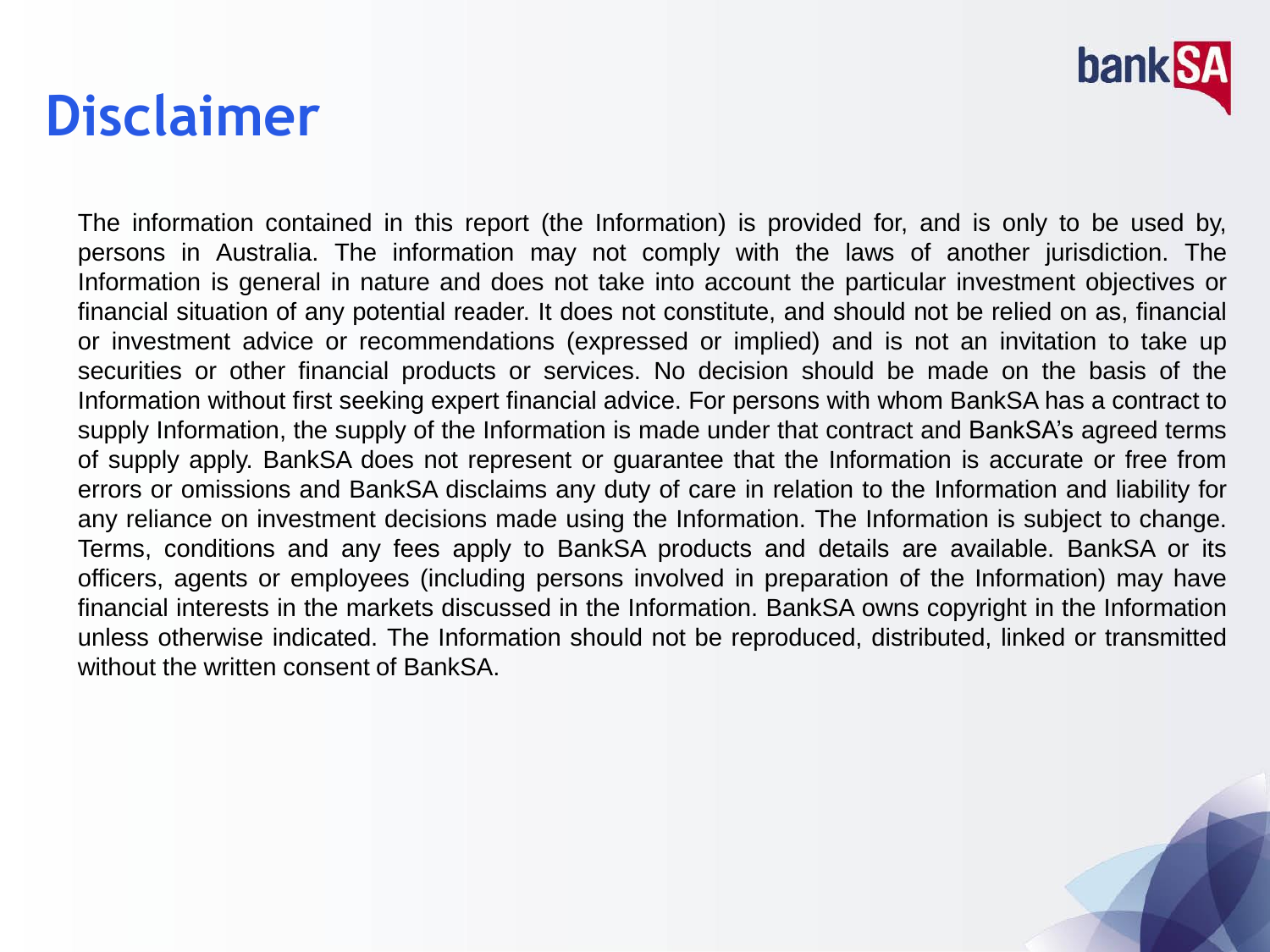

#### **Disclaimer**

The information contained in this report (the Information) is provided for, and is only to be used by, persons in Australia. The information may not comply with the laws of another jurisdiction. The Information is general in nature and does not take into account the particular investment objectives or financial situation of any potential reader. It does not constitute, and should not be relied on as, financial or investment advice or recommendations (expressed or implied) and is not an invitation to take up securities or other financial products or services. No decision should be made on the basis of the Information without first seeking expert financial advice. For persons with whom BankSA has a contract to supply Information, the supply of the Information is made under that contract and BankSA's agreed terms of supply apply. BankSA does not represent or guarantee that the Information is accurate or free from errors or omissions and BankSA disclaims any duty of care in relation to the Information and liability for any reliance on investment decisions made using the Information. The Information is subject to change. Terms, conditions and any fees apply to BankSA products and details are available. BankSA or its officers, agents or employees (including persons involved in preparation of the Information) may have financial interests in the markets discussed in the Information. BankSA owns copyright in the Information unless otherwise indicated. The Information should not be reproduced, distributed, linked or transmitted without the written consent of BankSA.